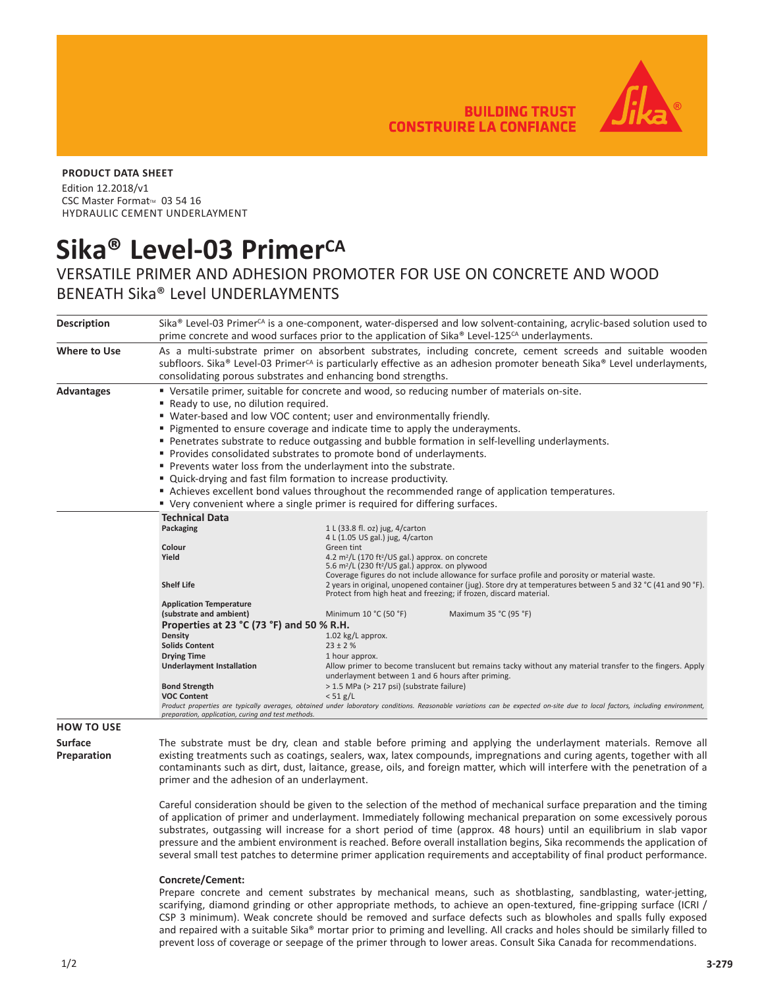**BUILDING TRUST CONSTRUIRE LA CONFIANCE** 



## **PRODUCT DATA SHEET**

Edition 12.2018/v1 CSC Master Format<sup>™</sup> 03 54 16 HYDRAULIC CEMENT UNDERLAYMENT

# Sika<sup>®</sup> Level-03 Primer<sup>CA</sup>

## VERSATILE PRIMER AND ADHESION PROMOTER FOR USE ON CONCRETE AND WOOD BENEATH Sika® Level UNDERLAYMENTS

| <b>Description</b> | Sika® Level-03 Primer <sup>cA</sup> is a one-component, water-dispersed and low solvent-containing, acrylic-based solution used to<br>prime concrete and wood surfaces prior to the application of Sika® Level-125 <sup>cA</sup> underlayments.                                                                                                                                                                                                                                                                                                                                                                            |                                                                                                                                                                                   |  |
|--------------------|----------------------------------------------------------------------------------------------------------------------------------------------------------------------------------------------------------------------------------------------------------------------------------------------------------------------------------------------------------------------------------------------------------------------------------------------------------------------------------------------------------------------------------------------------------------------------------------------------------------------------|-----------------------------------------------------------------------------------------------------------------------------------------------------------------------------------|--|
| Where to Use       | As a multi-substrate primer on absorbent substrates, including concrete, cement screeds and suitable wooden<br>subfloors. Sika® Level-03 Primer <sup>CA</sup> is particularly effective as an adhesion promoter beneath Sika® Level underlayments,<br>consolidating porous substrates and enhancing bond strengths.                                                                                                                                                                                                                                                                                                        |                                                                                                                                                                                   |  |
| Advantages         | ■ Versatile primer, suitable for concrete and wood, so reducing number of materials on-site.                                                                                                                                                                                                                                                                                                                                                                                                                                                                                                                               |                                                                                                                                                                                   |  |
|                    | Ready to use, no dilution required.                                                                                                                                                                                                                                                                                                                                                                                                                                                                                                                                                                                        |                                                                                                                                                                                   |  |
|                    | " Water-based and low VOC content; user and environmentally friendly.                                                                                                                                                                                                                                                                                                                                                                                                                                                                                                                                                      |                                                                                                                                                                                   |  |
|                    | ■ Pigmented to ensure coverage and indicate time to apply the underayments.                                                                                                                                                                                                                                                                                                                                                                                                                                                                                                                                                |                                                                                                                                                                                   |  |
|                    | Penetrates substrate to reduce outgassing and bubble formation in self-levelling underlayments.                                                                                                                                                                                                                                                                                                                                                                                                                                                                                                                            |                                                                                                                                                                                   |  |
|                    | • Provides consolidated substrates to promote bond of underlayments.                                                                                                                                                                                                                                                                                                                                                                                                                                                                                                                                                       |                                                                                                                                                                                   |  |
|                    | Prevents water loss from the underlayment into the substrate.                                                                                                                                                                                                                                                                                                                                                                                                                                                                                                                                                              |                                                                                                                                                                                   |  |
|                    | " Quick-drying and fast film formation to increase productivity.                                                                                                                                                                                                                                                                                                                                                                                                                                                                                                                                                           |                                                                                                                                                                                   |  |
|                    | Achieves excellent bond values throughout the recommended range of application temperatures.                                                                                                                                                                                                                                                                                                                                                                                                                                                                                                                               |                                                                                                                                                                                   |  |
|                    | " Very convenient where a single primer is required for differing surfaces.                                                                                                                                                                                                                                                                                                                                                                                                                                                                                                                                                |                                                                                                                                                                                   |  |
|                    | <b>Technical Data</b>                                                                                                                                                                                                                                                                                                                                                                                                                                                                                                                                                                                                      |                                                                                                                                                                                   |  |
|                    | Packaging                                                                                                                                                                                                                                                                                                                                                                                                                                                                                                                                                                                                                  | 1 L (33.8 fl. oz) jug, 4/carton                                                                                                                                                   |  |
|                    |                                                                                                                                                                                                                                                                                                                                                                                                                                                                                                                                                                                                                            | 4 L (1.05 US gal.) jug, 4/carton                                                                                                                                                  |  |
|                    | Colour<br>Yield                                                                                                                                                                                                                                                                                                                                                                                                                                                                                                                                                                                                            | Green tint<br>4.2 m <sup>2</sup> /L (170 ft <sup>2</sup> /US gal.) approx. on concrete                                                                                            |  |
|                    |                                                                                                                                                                                                                                                                                                                                                                                                                                                                                                                                                                                                                            | 5.6 m <sup>2</sup> /L (230 ft <sup>2</sup> /US gal.) approx. on plywood<br>Coverage figures do not include allowance for surface profile and porosity or material waste.          |  |
|                    | <b>Shelf Life</b>                                                                                                                                                                                                                                                                                                                                                                                                                                                                                                                                                                                                          | 2 years in original, unopened container (jug). Store dry at temperatures between 5 and 32 °C (41 and 90 °F).<br>Protect from high heat and freezing; if frozen, discard material. |  |
|                    | <b>Application Temperature</b>                                                                                                                                                                                                                                                                                                                                                                                                                                                                                                                                                                                             |                                                                                                                                                                                   |  |
|                    | (substrate and ambient)                                                                                                                                                                                                                                                                                                                                                                                                                                                                                                                                                                                                    | Minimum 10 °C (50 °F)<br>Maximum 35 °C (95 °F)                                                                                                                                    |  |
|                    | Properties at 23 °C (73 °F) and 50 % R.H.                                                                                                                                                                                                                                                                                                                                                                                                                                                                                                                                                                                  |                                                                                                                                                                                   |  |
|                    | Density<br><b>Solids Content</b>                                                                                                                                                                                                                                                                                                                                                                                                                                                                                                                                                                                           | $1.02$ kg/L approx.<br>$23 \pm 2$ %                                                                                                                                               |  |
|                    | <b>Drying Time</b>                                                                                                                                                                                                                                                                                                                                                                                                                                                                                                                                                                                                         | 1 hour approx.                                                                                                                                                                    |  |
|                    | <b>Underlayment Installation</b>                                                                                                                                                                                                                                                                                                                                                                                                                                                                                                                                                                                           | Allow primer to become translucent but remains tacky without any material transfer to the fingers. Apply<br>underlayment between 1 and 6 hours after priming.                     |  |
|                    | <b>Bond Strength</b>                                                                                                                                                                                                                                                                                                                                                                                                                                                                                                                                                                                                       | > 1.5 MPa (> 217 psi) (substrate failure)                                                                                                                                         |  |
|                    | <b>VOC Content</b>                                                                                                                                                                                                                                                                                                                                                                                                                                                                                                                                                                                                         | $< 51$ g/L                                                                                                                                                                        |  |
|                    | Product properties are typically averages, obtained under laboratory conditions. Reasonable variations can be expected on-site due to local factors, including environment,<br>preparation, application, curing and test methods.                                                                                                                                                                                                                                                                                                                                                                                          |                                                                                                                                                                                   |  |
| <b>HOW TO USE</b>  |                                                                                                                                                                                                                                                                                                                                                                                                                                                                                                                                                                                                                            |                                                                                                                                                                                   |  |
| <b>Surface</b>     |                                                                                                                                                                                                                                                                                                                                                                                                                                                                                                                                                                                                                            |                                                                                                                                                                                   |  |
|                    |                                                                                                                                                                                                                                                                                                                                                                                                                                                                                                                                                                                                                            | The substrate must be dry, clean and stable before priming and applying the underlayment materials. Remove all                                                                    |  |
| Preparation        | existing treatments such as coatings, sealers, wax, latex compounds, impregnations and curing agents, together with all                                                                                                                                                                                                                                                                                                                                                                                                                                                                                                    |                                                                                                                                                                                   |  |
|                    | contaminants such as dirt, dust, laitance, grease, oils, and foreign matter, which will interfere with the penetration of a                                                                                                                                                                                                                                                                                                                                                                                                                                                                                                |                                                                                                                                                                                   |  |
|                    | primer and the adhesion of an underlayment.                                                                                                                                                                                                                                                                                                                                                                                                                                                                                                                                                                                |                                                                                                                                                                                   |  |
|                    | Careful consideration should be given to the selection of the method of mechanical surface preparation and the timing<br>of application of primer and underlayment. Immediately following mechanical preparation on some excessively porous<br>substrates, outgassing will increase for a short period of time (approx. 48 hours) until an equilibrium in slab vapor<br>pressure and the ambient environment is reached. Before overall installation begins, Sika recommends the application of<br>several small test patches to determine primer application requirements and acceptability of final product performance. |                                                                                                                                                                                   |  |

### **Concrete/Cement:**

Prepare concrete and cement substrates by mechanical means, such as shotblasting, sandblasting, water-jetting, scarifying, diamond grinding or other appropriate methods, to achieve an open-textured, fine-gripping surface (ICRI / CSP 3 minimum). Weak concrete should be removed and surface defects such as blowholes and spalls fully exposed and repaired with a suitable Sika® mortar prior to priming and levelling. All cracks and holes should be similarly filled to prevent loss of coverage or seepage of the primer through to lower areas. Consult Sika Canada for recommendations.